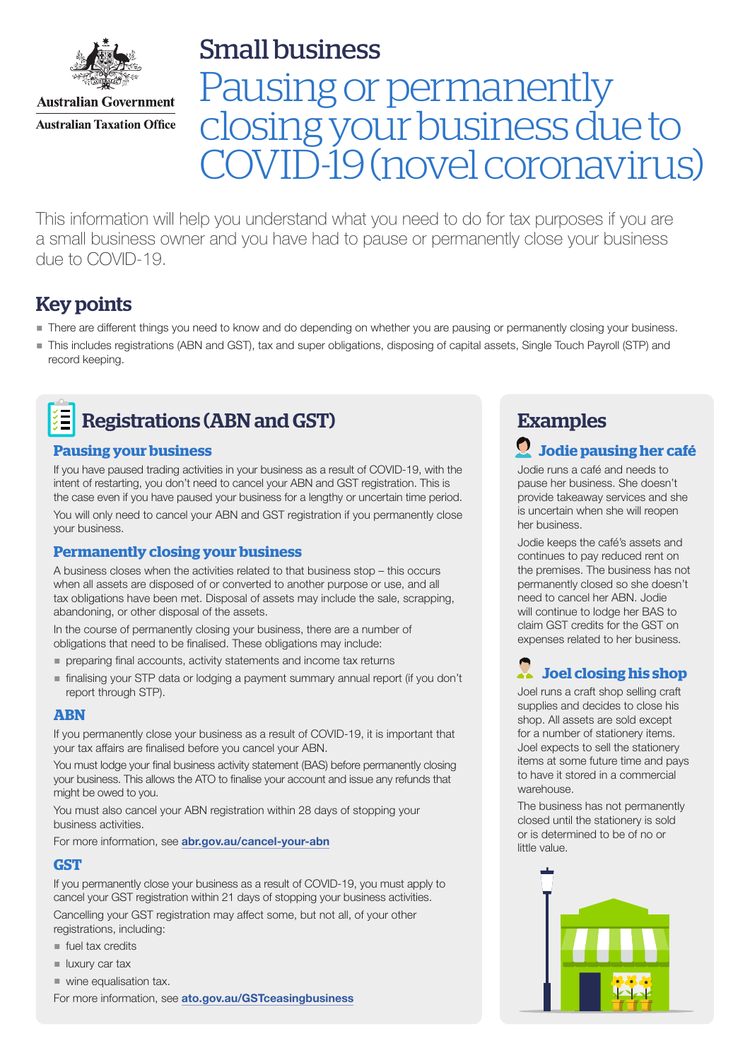

**Australian Government Australian Taxation Office**  Small business

# Pausing or permanently closing your business due to D-19 (novel coronavirus)

This information will help you understand what you need to do for tax purposes if you are a small business owner and you have had to pause or permanently close your business due to COVID-19.

# Key points

- There are different things you need to know and do depending on whether you are pausing or permanently closing your business.
- This includes registrations (ABN and GST), tax and super obligations, disposing of capital assets, Single Touch Payroll (STP) and record keeping.



### **Pausing your business**

If you have paused trading activities in your business as a result of COVID-19, with the intent of restarting, you don't need to cancel your ABN and GST registration. This is the case even if you have paused your business for a lengthy or uncertain time period.

You will only need to cancel your ABN and GST registration if you permanently close your business.

### **Permanently closing your business**

A business closes when the activities related to that business stop – this occurs when all assets are disposed of or converted to another purpose or use, and all tax obligations have been met. Disposal of assets may include the sale, scrapping, abandoning, or other disposal of the assets.

In the course of permanently closing your business, there are a number of obligations that need to be finalised. These obligations may include:

- **preparing final accounts, activity statements and income tax returns**
- finalising your STP data or lodging a payment summary annual report (if you don't report through STP).

### **ABN**

If you permanently close your business as a result of COVID-19, it is important that your tax affairs are finalised before you cancel your ABN.

You must lodge your final business activity statement (BAS) before permanently closing your business. This allows the ATO to finalise your account and issue any refunds that might be owed to you.

You must also cancel your ABN registration within 28 days of stopping your business activities.

For more information, see [abr.gov.au/cancel-your-abn](http://abr.gov.au/cancel-your-abn)

### **GST**

If you permanently close your business as a result of COVID-19, you must apply to cancel your GST registration within 21 days of stopping your business activities.

Cancelling your GST registration may affect some, but not all, of your other registrations, including:

- fuel tax credits
- $\blacksquare$  luxury car tax
- wine equalisation tax.

For more information, see [ato.gov.au/GSTceasingbusiness](http://ato.gov.au/GSTceasingbusiness)

# Examples

# **Jodie pausing her café**

Jodie runs a café and needs to pause her business. She doesn't provide takeaway services and she is uncertain when she will reopen her business.

Jodie keeps the café's assets and continues to pay reduced rent on the premises. The business has not permanently closed so she doesn't need to cancel her ABN. Jodie will continue to lodge her BAS to claim GST credits for the GST on expenses related to her business.

# **Joel closing his shop**

Joel runs a craft shop selling craft supplies and decides to close his shop. All assets are sold except for a number of stationery items. Joel expects to sell the stationery items at some future time and pays to have it stored in a commercial warehouse.

The business has not permanently closed until the stationery is sold or is determined to be of no or little value.